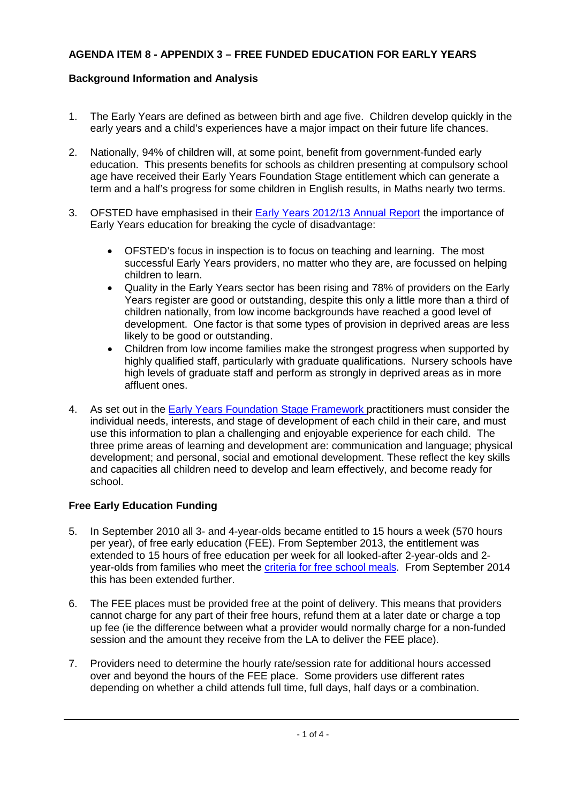# **AGENDA ITEM 8 - APPENDIX 3 – FREE FUNDED EDUCATION FOR EARLY YEARS**

# **Background Information and Analysis**

- 1. The Early Years are defined as between birth and age five. Children develop quickly in the early years and a child's experiences have a major impact on their future life chances.
- 2. Nationally, 94% of children will, at some point, benefit from government-funded early education. This presents benefits for schools as children presenting at compulsory school age have received their Early Years Foundation Stage entitlement which can generate a term and a half's progress for some children in English results, in Maths nearly two terms.
- 3. OFSTED have emphasised in their **Early Years 2012/13 Annual Report** the importance of Early Years education for breaking the cycle of disadvantage:
	- OFSTED's focus in inspection is to focus on teaching and learning. The most successful Early Years providers, no matter who they are, are focussed on helping children to learn.
	- Quality in the Early Years sector has been rising and 78% of providers on the Early Years register are good or outstanding, despite this only a little more than a third of children nationally, from low income backgrounds have reached a good level of development. One factor is that some types of provision in deprived areas are less likely to be good or outstanding.
	- Children from low income families make the strongest progress when supported by highly qualified staff, particularly with graduate qualifications. Nursery schools have high levels of graduate staff and perform as strongly in deprived areas as in more affluent ones.
- 4. As set out in the [Early Years Foundation Stage Framework p](https://www.gov.uk/government/uploads/system/uploads/attachment_data/file/299391/DFE-00337-2014.pdf)ractitioners must consider the individual needs, interests, and stage of development of each child in their care, and must use this information to plan a challenging and enjoyable experience for each child. The three prime areas of learning and development are: communication and language; physical development; and personal, social and emotional development. These reflect the key skills and capacities all children need to develop and learn effectively, and become ready for school.

### **Free Early Education Funding**

- 5. In September 2010 all 3- and 4-year-olds became entitled to 15 hours a week (570 hours per year), of free early education (FEE). From September 2013, the entitlement was extended to 15 hours of free education per week for all looked-after 2-year-olds and 2 year-olds from families who meet the [criteria for free school meals.](https://www.gov.uk/apply-free-school-meals) From September 2014 this has been extended further.
- 6. The FEE places must be provided free at the point of delivery. This means that providers cannot charge for any part of their free hours, refund them at a later date or charge a top up fee (ie the difference between what a provider would normally charge for a non-funded session and the amount they receive from the LA to deliver the FEE place).
- 7. Providers need to determine the hourly rate/session rate for additional hours accessed over and beyond the hours of the FEE place. Some providers use different rates depending on whether a child attends full time, full days, half days or a combination.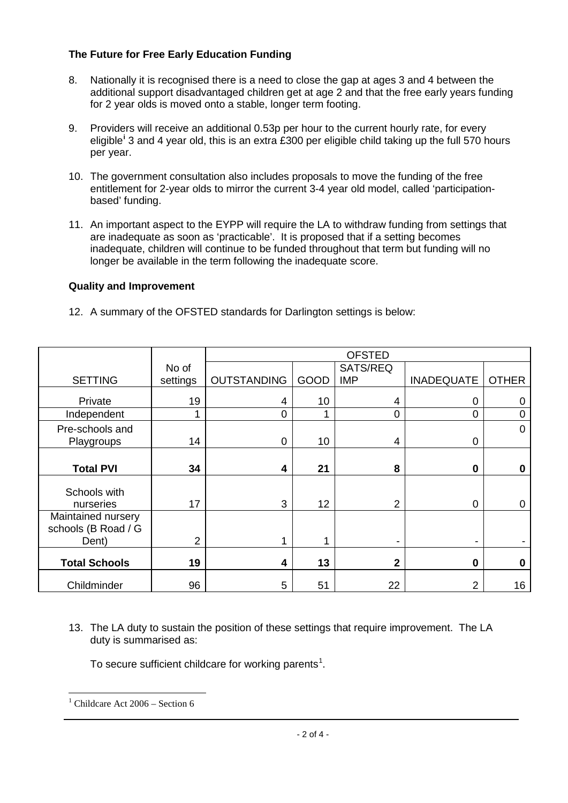### **The Future for Free Early Education Funding**

- 8. Nationally it is recognised there is a need to close the gap at ages 3 and 4 between the additional support disadvantaged children get at age 2 and that the free early years funding for 2 year olds is moved onto a stable, longer term footing.
- 9. Providers will receive an additional 0.53p per hour to the current hourly rate, for every eligible**[i](#page-3-0)** 3 and 4 year old, this is an extra £300 per eligible child taking up the full 570 hours per year.
- 10. The government consultation also includes proposals to move the funding of the free entitlement for 2-year olds to mirror the current 3-4 year old model, called 'participationbased' funding.
- 11. An important aspect to the EYPP will require the LA to withdraw funding from settings that are inadequate as soon as 'practicable'. It is proposed that if a setting becomes inadequate, children will continue to be funded throughout that term but funding will no longer be available in the term following the inadequate score.

## **Quality and Improvement**

12. A summary of the OFSTED standards for Darlington settings is below:

|                      |                | <b>OFSTED</b>      |      |                |                   |              |
|----------------------|----------------|--------------------|------|----------------|-------------------|--------------|
|                      | No of          |                    |      | SATS/REQ       |                   |              |
| <b>SETTING</b>       | settings       | <b>OUTSTANDING</b> | GOOD | <b>IMP</b>     | <b>INADEQUATE</b> | <b>OTHER</b> |
| Private              | 19             | 4                  | 10   | 4              | 0                 | 0            |
| Independent          | 1              | $\Omega$           |      | 0              | $\overline{0}$    | $\mathbf 0$  |
| Pre-schools and      |                |                    |      |                |                   | $\mathbf 0$  |
| Playgroups           | 14             | $\Omega$           | 10   | 4              | 0                 |              |
|                      |                |                    |      |                |                   |              |
| <b>Total PVI</b>     | 34             | 4                  | 21   | 8              | $\bf{0}$          | 0            |
|                      |                |                    |      |                |                   |              |
| Schools with         |                |                    |      |                |                   |              |
| nurseries            | 17             | 3                  | 12   | $\overline{2}$ | $\overline{0}$    | 0            |
| Maintained nursery   |                |                    |      |                |                   |              |
| schools (B Road / G  |                |                    |      |                |                   |              |
| Dent)                | $\overline{2}$ |                    | 1    |                | ۰                 |              |
|                      |                |                    |      |                |                   |              |
| <b>Total Schools</b> | 19             | 4                  | 13   | $\mathbf{2}$   | $\bf{0}$          | $\mathbf 0$  |
| Childminder          | 96             | 5                  | 51   | 22             | $\overline{2}$    | 16           |

13. The LA duty to sustain the position of these settings that require improvement. The LA duty is summarised as:

To secure sufficient childcare for working parents<sup>[1](#page-1-0)</sup>.

<span id="page-1-0"></span><u>.</u>

Childcare Act 2006 – Section 6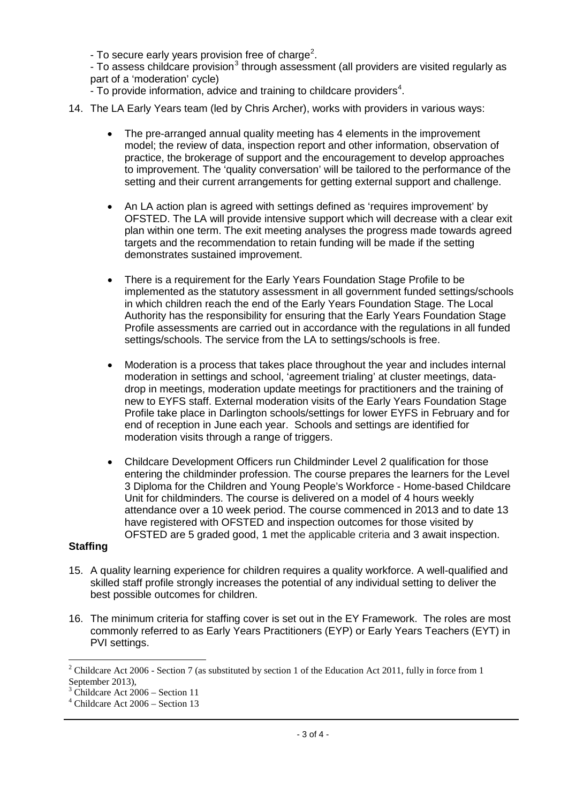- To secure early years provision free of charge<sup>[2](#page-2-0)</sup>.

- To assess childcare provision<sup>[3](#page-2-1)</sup> through assessment (all providers are visited regularly as part of a 'moderation' cycle)

- To provide information, advice and training to childcare providers<sup>[4](#page-2-2)</sup>.
- 14. The LA Early Years team (led by Chris Archer), works with providers in various ways:
	- The pre-arranged annual quality meeting has 4 elements in the improvement model; the review of data, inspection report and other information, observation of practice, the brokerage of support and the encouragement to develop approaches to improvement. The 'quality conversation' will be tailored to the performance of the setting and their current arrangements for getting external support and challenge.
	- An LA action plan is agreed with settings defined as 'requires improvement' by OFSTED. The LA will provide intensive support which will decrease with a clear exit plan within one term. The exit meeting analyses the progress made towards agreed targets and the recommendation to retain funding will be made if the setting demonstrates sustained improvement.
	- There is a requirement for the Early Years Foundation Stage Profile to be implemented as the statutory assessment in all government funded settings/schools in which children reach the end of the Early Years Foundation Stage. The Local Authority has the responsibility for ensuring that the Early Years Foundation Stage Profile assessments are carried out in accordance with the regulations in all funded settings/schools. The service from the LA to settings/schools is free.
	- Moderation is a process that takes place throughout the year and includes internal moderation in settings and school, 'agreement trialing' at cluster meetings, datadrop in meetings, moderation update meetings for practitioners and the training of new to EYFS staff. External moderation visits of the Early Years Foundation Stage Profile take place in Darlington schools/settings for lower EYFS in February and for end of reception in June each year. Schools and settings are identified for moderation visits through a range of triggers.
	- Childcare Development Officers run Childminder Level 2 qualification for those entering the childminder profession. The course prepares the learners for the Level 3 Diploma for the Children and Young People's Workforce - Home-based Childcare Unit for childminders. The course is delivered on a model of 4 hours weekly attendance over a 10 week period. The course commenced in 2013 and to date 13 have registered with OFSTED and inspection outcomes for those visited by OFSTED are 5 graded good, 1 met the applicable criteria and 3 await inspection.

### **Staffing**

-

- 15. A quality learning experience for children requires a quality workforce. A well-qualified and skilled staff profile strongly increases the potential of any individual setting to deliver the best possible outcomes for children.
- 16. The minimum criteria for staffing cover is set out in the EY Framework. The roles are most commonly referred to as Early Years Practitioners (EYP) or Early Years Teachers (EYT) in PVI settings.

<span id="page-2-0"></span><sup>&</sup>lt;sup>2</sup> Childcare Act 2006 - Section 7 (as substituted by section 1 of the Education Act 2011, fully in force from 1 September 2013),<br> $3$  Childcare Act 2006 – Section 11

<span id="page-2-1"></span>

<span id="page-2-2"></span> $4$  Childcare Act 2006 – Section 13